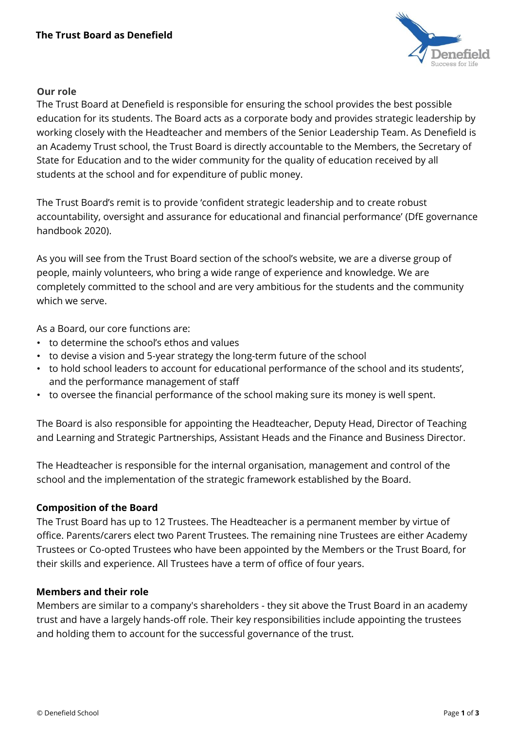

## **Our role**

The Trust Board at Denefield is responsible for ensuring the school provides the best possible education for its students. The Board acts as a corporate body and provides strategic leadership by working closely with the Headteacher and members of the Senior Leadership Team. As Denefield is an Academy Trust school, the Trust Board is directly accountable to the Members, the Secretary of State for Education and to the wider community for the quality of education received by all students at the school and for expenditure of public money.

The Trust Board's remit is to provide 'confident strategic leadership and to create robust accountability, oversight and assurance for educational and financial performance' (DfE governance handbook 2020).

As you will see from the Trust Board section of the school's website, we are a diverse group of people, mainly volunteers, who bring a wide range of experience and knowledge. We are completely committed to the school and are very ambitious for the students and the community which we serve.

As a Board, our core functions are:

- to determine the school's ethos and values
- to devise a vision and 5-year strategy the long-term future of the school
- to hold school leaders to account for educational performance of the school and its students', and the performance management of staff
- to oversee the financial performance of the school making sure its money is well spent.

The Board is also responsible for appointing the Headteacher, Deputy Head, Director of Teaching and Learning and Strategic Partnerships, Assistant Heads and the Finance and Business Director.

The Headteacher is responsible for the internal organisation, management and control of the school and the implementation of the strategic framework established by the Board.

## **Composition of the Board**

The Trust Board has up to 12 Trustees. The Headteacher is a permanent member by virtue of office. Parents/carers elect two Parent Trustees. The remaining nine Trustees are either Academy Trustees or Co-opted Trustees who have been appointed by the Members or the Trust Board, for their skills and experience. All Trustees have a term of office of four years.

# **Members and their role**

Members are similar to a company's shareholders - they sit above the Trust Board in an academy trust and have a largely hands-off role. Their key responsibilities include appointing the trustees and holding them to account for the successful governance of the trust.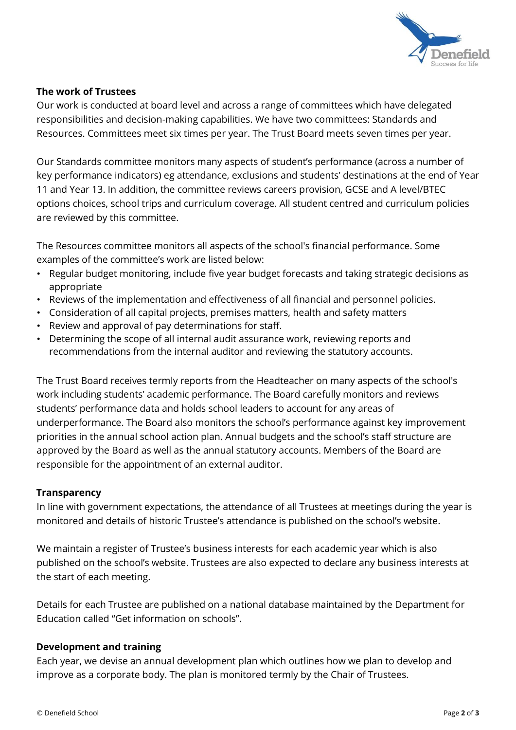

## **The work of Trustees**

Our work is conducted at board level and across a range of committees which have delegated responsibilities and decision-making capabilities. We have two committees: Standards and Resources. Committees meet six times per year. The Trust Board meets seven times per year.

Our Standards committee monitors many aspects of student's performance (across a number of key performance indicators) eg attendance, exclusions and students' destinations at the end of Year 11 and Year 13. In addition, the committee reviews careers provision, GCSE and A level/BTEC options choices, school trips and curriculum coverage. All student centred and curriculum policies are reviewed by this committee.

The Resources committee monitors all aspects of the school's financial performance. Some examples of the committee's work are listed below:

- Regular budget monitoring, include five year budget forecasts and taking strategic decisions as appropriate
- Reviews of the implementation and effectiveness of all financial and personnel policies.
- Consideration of all capital projects, premises matters, health and safety matters
- Review and approval of pay determinations for staff.
- Determining the scope of all internal audit assurance work, reviewing reports and recommendations from the internal auditor and reviewing the statutory accounts.

The Trust Board receives termly reports from the Headteacher on many aspects of the school's work including students' academic performance. The Board carefully monitors and reviews students' performance data and holds school leaders to account for any areas of underperformance. The Board also monitors the school's performance against key improvement priorities in the annual school action plan. Annual budgets and the school's staff structure are approved by the Board as well as the annual statutory accounts. Members of the Board are responsible for the appointment of an external auditor.

## **Transparency**

In line with government expectations, the attendance of all Trustees at meetings during the year is monitored and details of historic Trustee's attendance is published on the school's website.

We maintain a register of Trustee's business interests for each academic year which is also published on the school's website. Trustees are also expected to declare any business interests at the start of each meeting.

Details for each Trustee are published on a national database maintained by the Department for Education called "Get information on schools".

## **Development and training**

Each year, we devise an annual development plan which outlines how we plan to develop and improve as a corporate body. The plan is monitored termly by the Chair of Trustees.